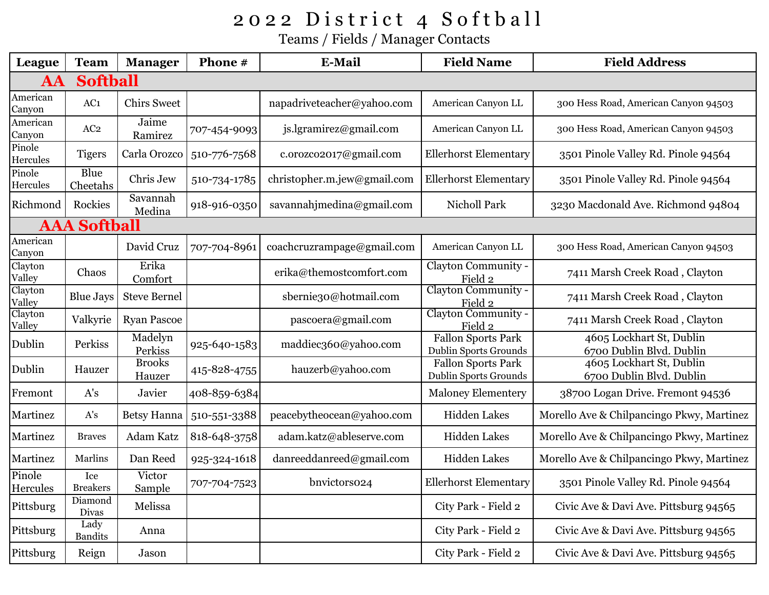## 2022 District 4 Softball

Teams / Fields / Manager Contacts

| League                       | <b>Team</b>            | <b>Manager</b>          | Phone #      | E-Mail                      | <b>Field Name</b>                                         | <b>Field Address</b>                                 |  |  |
|------------------------------|------------------------|-------------------------|--------------|-----------------------------|-----------------------------------------------------------|------------------------------------------------------|--|--|
| <b>Softball</b><br><b>AA</b> |                        |                         |              |                             |                                                           |                                                      |  |  |
| American<br>Canyon           | AC1                    | <b>Chirs Sweet</b>      |              | napadriveteacher@yahoo.com  | American Canyon LL                                        | 300 Hess Road, American Canyon 94503                 |  |  |
| American<br>Canyon           | AC <sub>2</sub>        | Jaime<br>Ramirez        | 707-454-9093 | js.lgramirez@gmail.com      | American Canyon LL                                        | 300 Hess Road, American Canyon 94503                 |  |  |
| Pinole<br>Hercules           | <b>Tigers</b>          | Carla Orozco            | 510-776-7568 | c.orozco2017@gmail.com      | <b>Ellerhorst Elementary</b>                              | 3501 Pinole Valley Rd. Pinole 94564                  |  |  |
| Pinole<br>Hercules           | Blue<br>Cheetahs       | Chris Jew               | 510-734-1785 | christopher.m.jew@gmail.com | <b>Ellerhorst Elementary</b>                              | 3501 Pinole Valley Rd. Pinole 94564                  |  |  |
| Richmond                     | Rockies                | Savannah<br>Medina      | 918-916-0350 | savannahjmedina@gmail.com   | Nicholl Park                                              | 3230 Macdonald Ave. Richmond 94804                   |  |  |
| <b>AAA Softball</b>          |                        |                         |              |                             |                                                           |                                                      |  |  |
| American<br>Canyon           |                        | David Cruz              | 707-704-8961 | coachcruzrampage@gmail.com  | American Canyon LL                                        | 300 Hess Road, American Canyon 94503                 |  |  |
| Clayton<br>Valley            | Chaos                  | Erika<br>Comfort        |              | erika@themostcomfort.com    | Clayton Community -<br>Field 2                            | 7411 Marsh Creek Road, Clayton                       |  |  |
| Clayton<br>Valley            | <b>Blue Jays</b>       | <b>Steve Bernel</b>     |              | sbernie30@hotmail.com       | Clayton Community -<br>Field 2                            | 7411 Marsh Creek Road, Clayton                       |  |  |
| Clayton<br>Valley            | Valkyrie               | <b>Ryan Pascoe</b>      |              | pascoera@gmail.com          | Clayton Community -<br>Field 2                            | 7411 Marsh Creek Road, Clayton                       |  |  |
| Dublin                       | Perkiss                | Madelyn<br>Perkiss      | 925-640-1583 | maddiec360@yahoo.com        | <b>Fallon Sports Park</b><br><b>Dublin Sports Grounds</b> | 4605 Lockhart St, Dublin<br>6700 Dublin Blvd. Dublin |  |  |
| Dublin                       | Hauzer                 | <b>Brooks</b><br>Hauzer | 415-828-4755 | hauzerb@yahoo.com           | Fallon Sports Park<br><b>Dublin Sports Grounds</b>        | 4605 Lockhart St, Dublin<br>6700 Dublin Blvd. Dublin |  |  |
| Fremont                      | A's                    | Javier                  | 408-859-6384 |                             | <b>Maloney Elementery</b>                                 | 38700 Logan Drive. Fremont 94536                     |  |  |
| Martinez                     | A's                    | <b>Betsy Hanna</b>      | 510-551-3388 | peacebytheocean@yahoo.com   | <b>Hidden Lakes</b>                                       | Morello Ave & Chilpancingo Pkwy, Martinez            |  |  |
| Martinez                     | <b>Braves</b>          | Adam Katz               | 818-648-3758 | adam.katz@ableserve.com     | Hidden Lakes                                              | Morello Ave & Chilpancingo Pkwy, Martinez            |  |  |
| Martinez                     | Marlins                | Dan Reed                | 925-324-1618 | danreeddanreed@gmail.com    | Hidden Lakes                                              | Morello Ave & Chilpancingo Pkwy, Martinez            |  |  |
| Pinole<br>Hercules           | Ice<br><b>Breakers</b> | Victor<br>Sample        | 707-704-7523 | bnvictors024                | <b>Ellerhorst Elementary</b>                              | 3501 Pinole Valley Rd. Pinole 94564                  |  |  |
| Pittsburg                    | Diamond<br>Divas       | Melissa                 |              |                             | City Park - Field 2                                       | Civic Ave & Davi Ave. Pittsburg 94565                |  |  |
| Pittsburg                    | Lady<br><b>Bandits</b> | Anna                    |              |                             | City Park - Field 2                                       | Civic Ave & Davi Ave. Pittsburg 94565                |  |  |
| Pittsburg                    | Reign                  | Jason                   |              |                             | City Park - Field 2                                       | Civic Ave & Davi Ave. Pittsburg 94565                |  |  |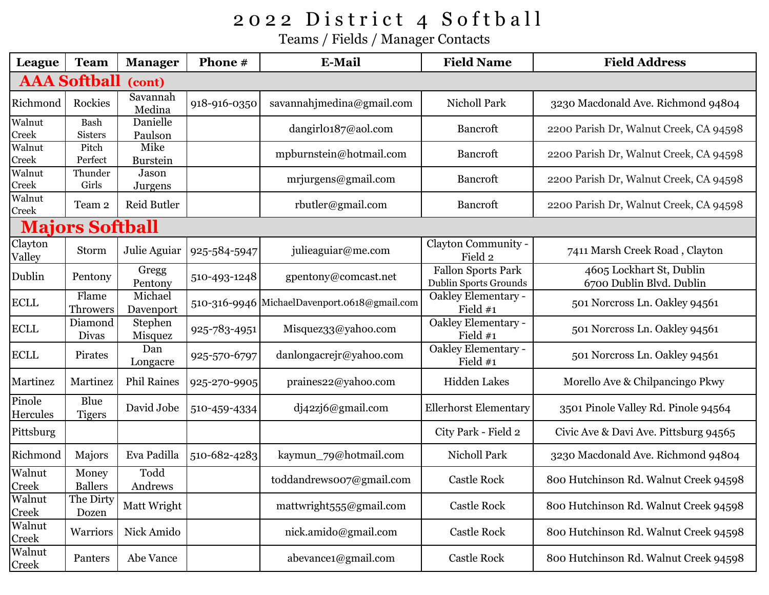## 2022 District 4 Softball

Teams / Fields / Manager Contacts

| League                        | <b>Team</b>              | <b>Manager</b>          | Phone #      | <b>E-Mail</b>                                | <b>Field Name</b>                                         | <b>Field Address</b>                                 |  |  |
|-------------------------------|--------------------------|-------------------------|--------------|----------------------------------------------|-----------------------------------------------------------|------------------------------------------------------|--|--|
| <b>AAA Softball</b><br>(cont) |                          |                         |              |                                              |                                                           |                                                      |  |  |
| Richmond                      | Rockies                  | Savannah<br>Medina      | 918-916-0350 | savannahjmedina@gmail.com                    | Nicholl Park                                              | 3230 Macdonald Ave. Richmond 94804                   |  |  |
| Walnut<br>Creek               | Bash<br><b>Sisters</b>   | Danielle<br>Paulson     |              | dangirl0187@aol.com                          | <b>Bancroft</b>                                           | 2200 Parish Dr, Walnut Creek, CA 94598               |  |  |
| Walnut<br>Creek               | Pitch<br>Perfect         | Mike<br><b>Burstein</b> |              | mpburnstein@hotmail.com                      | <b>Bancroft</b>                                           | 2200 Parish Dr, Walnut Creek, CA 94598               |  |  |
| Walnut<br>Creek               | Thunder<br>Girls         | Jason<br>Jurgens        |              | mrjurgens@gmail.com                          | <b>Bancroft</b>                                           | 2200 Parish Dr, Walnut Creek, CA 94598               |  |  |
| Walnut<br>Creek               | Team 2                   | Reid Butler             |              | rbutler@gmail.com                            | <b>Bancroft</b>                                           | 2200 Parish Dr, Walnut Creek, CA 94598               |  |  |
| <b>Majors Softball</b>        |                          |                         |              |                                              |                                                           |                                                      |  |  |
| Clayton<br>Valley             | Storm                    | Julie Aguiar            | 925-584-5947 | julieaguiar@me.com                           | Clayton Community -<br>Field 2                            | 7411 Marsh Creek Road, Clayton                       |  |  |
| Dublin                        | Pentony                  | Gregg<br>Pentony        | 510-493-1248 | gpentony@comcast.net                         | <b>Fallon Sports Park</b><br><b>Dublin Sports Grounds</b> | 4605 Lockhart St, Dublin<br>6700 Dublin Blvd. Dublin |  |  |
| <b>ECLL</b>                   | Flame<br><b>Throwers</b> | Michael<br>Davenport    |              | 510-316-9946 MichaelDavenport.0618@gmail.com | Oakley Elementary -<br>Field $#1$                         | 501 Norcross Ln. Oakley 94561                        |  |  |
| <b>ECLL</b>                   | Diamond<br>Divas         | Stephen<br>Misquez      | 925-783-4951 | Misquez33@yahoo.com                          | Oakley Elementary -<br>Field #1                           | 501 Norcross Ln. Oakley 94561                        |  |  |
| <b>ECLL</b>                   | Pirates                  | Dan<br>Longacre         | 925-570-6797 | danlongacrejr@yahoo.com                      | Oakley Elementary -<br>Field $#1$                         | 501 Norcross Ln. Oakley 94561                        |  |  |
| Martinez                      | Martinez                 | <b>Phil Raines</b>      | 925-270-9905 | praines22@yahoo.com                          | <b>Hidden Lakes</b>                                       | Morello Ave & Chilpancingo Pkwy                      |  |  |
| Pinole<br>Hercules            | Blue<br><b>Tigers</b>    | David Jobe              | 510-459-4334 | dj42zj6@gmail.com                            | <b>Ellerhorst Elementary</b>                              | 3501 Pinole Valley Rd. Pinole 94564                  |  |  |
| Pittsburg                     |                          |                         |              |                                              | City Park - Field 2                                       | Civic Ave & Davi Ave. Pittsburg 94565                |  |  |
| Richmond                      | Majors                   | Eva Padilla             | 510-682-4283 | kaymun_79@hotmail.com                        | <b>Nicholl Park</b>                                       | 3230 Macdonald Ave. Richmond 94804                   |  |  |
| Walnut<br>Creek               | Money<br><b>Ballers</b>  | Todd<br>Andrews         |              | toddandrews007@gmail.com                     | <b>Castle Rock</b>                                        | 800 Hutchinson Rd. Walnut Creek 94598                |  |  |
| Walnut<br>Creek               | The Dirty<br>Dozen       | Matt Wright             |              | mattwright555@gmail.com                      | <b>Castle Rock</b>                                        | 800 Hutchinson Rd. Walnut Creek 94598                |  |  |
| Walnut<br>Creek               | Warriors                 | Nick Amido              |              | nick.amido@gmail.com                         | <b>Castle Rock</b>                                        | 800 Hutchinson Rd. Walnut Creek 94598                |  |  |
| Walnut<br>Creek               | Panters                  | Abe Vance               |              | abevance1@gmail.com                          | <b>Castle Rock</b>                                        | 800 Hutchinson Rd. Walnut Creek 94598                |  |  |